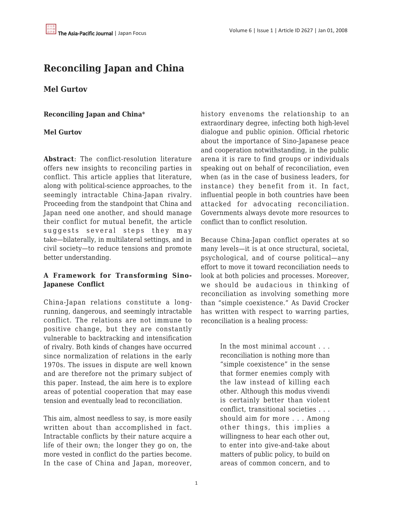# **Reconciling Japan and China**

## **Mel Gurtov**

**Reconciling Japan and China**\*

#### **Mel Gurtov**

**Abstract**: The conflict-resolution literature offers new insights to reconciling parties in conflict. This article applies that literature, along with political-science approaches, to the seemingly intractable China-Japan rivalry. Proceeding from the standpoint that China and Japan need one another, and should manage their conflict for mutual benefit, the article suggests several steps they may take—bilaterally, in multilateral settings, and in civil society—to reduce tensions and promote better understanding.

### **A Framework for Transforming Sino-Japanese Conflict**

China-Japan relations constitute a longrunning, dangerous, and seemingly intractable conflict. The relations are not immune to positive change, but they are constantly vulnerable to backtracking and intensification of rivalry. Both kinds of changes have occurred since normalization of relations in the early 1970s. The issues in dispute are well known and are therefore not the primary subject of this paper. Instead, the aim here is to explore areas of potential cooperation that may ease tension and eventually lead to reconciliation.

This aim, almost needless to say, is more easily written about than accomplished in fact. Intractable conflicts by their nature acquire a life of their own; the longer they go on, the more vested in conflict do the parties become. In the case of China and Japan, moreover, history envenoms the relationship to an extraordinary degree, infecting both high-level dialogue and public opinion. Official rhetoric about the importance of Sino-Japanese peace and cooperation notwithstanding, in the public arena it is rare to find groups or individuals speaking out on behalf of reconciliation, even when (as in the case of business leaders, for instance) they benefit from it. In fact, influential people in both countries have been attacked for advocating reconciliation. Governments always devote more resources to conflict than to conflict resolution.

Because China-Japan conflict operates at so many levels—it is at once structural, societal, psychological, and of course political—any effort to move it toward reconciliation needs to look at both policies and processes. Moreover, we should be audacious in thinking of reconciliation as involving something more than "simple coexistence." As David Crocker has written with respect to warring parties, reconciliation is a healing process:

> In the most minimal account . . . reconciliation is nothing more than "simple coexistence" in the sense that former enemies comply with the law instead of killing each other. Although this modus vivendi is certainly better than violent conflict, transitional societies . . . should aim for more . . . Among other things, this implies a willingness to hear each other out, to enter into give-and-take about matters of public policy, to build on areas of common concern, and to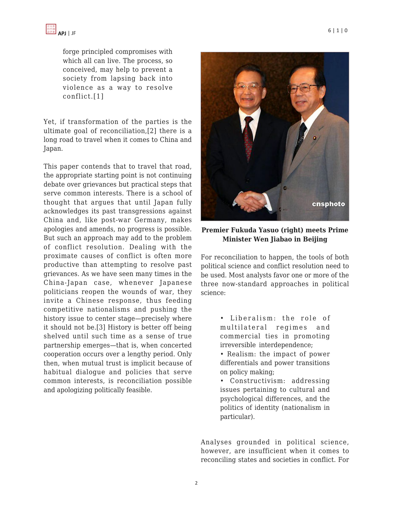forge principled compromises with which all can live. The process, so conceived, may help to prevent a society from lapsing back into violence as a way to resolve conflict.[1]

Yet, if transformation of the parties is the ultimate goal of reconciliation,[2] there is a long road to travel when it comes to China and Japan.

This paper contends that to travel that road, the appropriate starting point is not continuing debate over grievances but practical steps that serve common interests. There is a school of thought that argues that until Japan fully acknowledges its past transgressions against China and, like post-war Germany, makes apologies and amends, no progress is possible. But such an approach may add to the problem of conflict resolution. Dealing with the proximate causes of conflict is often more productive than attempting to resolve past grievances. As we have seen many times in the China-Japan case, whenever Japanese politicians reopen the wounds of war, they invite a Chinese response, thus feeding competitive nationalisms and pushing the history issue to center stage—precisely where it should not be.[3] History is better off being shelved until such time as a sense of true partnership emerges—that is, when concerted cooperation occurs over a lengthy period. Only then, when mutual trust is implicit because of habitual dialogue and policies that serve common interests, is reconciliation possible and apologizing politically feasible.



**Premier Fukuda Yasuo (right) meets Prime Minister Wen Jiabao in Beijing**

For reconciliation to happen, the tools of both political science and conflict resolution need to be used. Most analysts favor one or more of the three now-standard approaches in political science:

> • Liberalism: the role of multilateral regimes and commercial ties in promoting irreversible interdependence;

> • Realism: the impact of power differentials and power transitions on policy making;

> • Constructivism: addressing issues pertaining to cultural and psychological differences, and the politics of identity (nationalism in particular).

Analyses grounded in political science, however, are insufficient when it comes to reconciling states and societies in conflict. For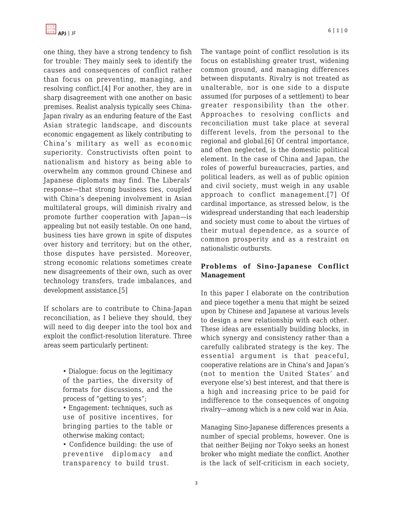one thing, they have a strong tendency to fish for trouble: They mainly seek to identify the causes and consequences of conflict rather than focus on preventing, managing, and resolving conflict.[4] For another, they are in sharp disagreement with one another on basic premises. Realist analysis typically sees China-Japan rivalry as an enduring feature of the East Asian strategic landscape, and discounts economic engagement as likely contributing to China's military as well as economic superiority. Constructivists often point to nationalism and history as being able to overwhelm any common ground Chinese and Japanese diplomats may find. The Liberals' response—that strong business ties, coupled with China's deepening involvement in Asian multilateral groups, will diminish rivalry and promote further cooperation with Japan—is appealing but not easily testable. On one hand, business ties have grown in spite of disputes over history and territory; but on the other, those disputes have persisted. Moreover, strong economic relations sometimes create new disagreements of their own, such as over technology transfers, trade imbalances, and development assistance.[5]

If scholars are to contribute to China-Japan reconciliation, as I believe they should, they will need to dig deeper into the tool box and exploit the conflict-resolution literature. Three areas seem particularly pertinent:

> • Dialogue: focus on the legitimacy of the parties, the diversity of formats for discussions, and the process of "getting to yes";

> • Engagement: techniques, such as use of positive incentives, for bringing parties to the table or otherwise making contact;

> • Confidence building: the use of preventive diplomacy and transparency to build trust.

The vantage point of conflict resolution is its focus on establishing greater trust, widening common ground, and managing differences between disputants. Rivalry is not treated as unalterable, nor is one side to a dispute assumed (for purposes of a settlement) to bear greater responsibility than the other. Approaches to resolving conflicts and reconciliation must take place at several different levels, from the personal to the regional and global.[6] Of central importance, and often neglected, is the domestic political element. In the case of China and Japan, the roles of powerful bureaucracies, parties, and political leaders, as well as of public opinion and civil society, must weigh in any usable approach to conflict management.[7] Of cardinal importance, as stressed below, is the widespread understanding that each leadership and society must come to about the virtues of their mutual dependence, as a source of common prosperity and as a restraint on nationalistic outbursts.

## **Problems of Sino-Japanese Conflict Management**

In this paper I elaborate on the contribution and piece together a menu that might be seized upon by Chinese and Japanese at various levels to design a new relationship with each other. These ideas are essentially building blocks, in which synergy and consistency rather than a carefully calibrated strategy is the key. The essential argument is that peaceful, cooperative relations are in China's and Japan's (not to mention the United States' and everyone else's) best interest, and that there is a high and increasing price to be paid for indifference to the consequences of ongoing rivalry—among which is a new cold war in Asia.

Managing Sino-Japanese differences presents a number of special problems, however. One is that neither Beijing nor Tokyo seeks an honest broker who might mediate the conflict. Another is the lack of self-criticism in each society,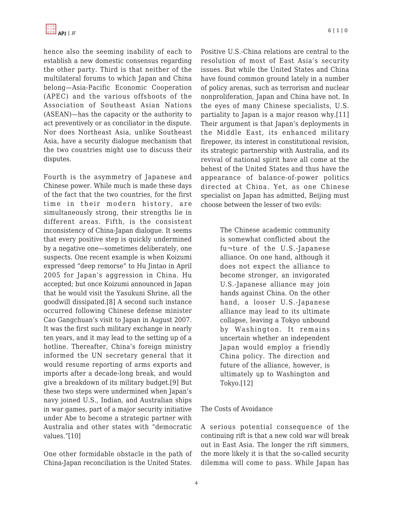hence also the seeming inability of each to establish a new domestic consensus regarding the other party. Third is that neither of the multilateral forums to which Japan and China belong—Asia-Pacific Economic Cooperation (APEC) and the various offshoots of the Association of Southeast Asian Nations (ASEAN)—has the capacity or the authority to act preventively or as conciliator in the dispute. Nor does Northeast Asia, unlike Southeast Asia, have a security dialogue mechanism that the two countries might use to discuss their disputes.

Fourth is the asymmetry of Japanese and Chinese power. While much is made these days of the fact that the two countries, for the first time in their modern history, are simultaneously strong, their strengths lie in different areas. Fifth, is the consistent inconsistency of China-Japan dialogue. It seems that every positive step is quickly undermined by a negative one—sometimes deliberately, one suspects. One recent example is when Koizumi expressed "deep remorse" to Hu Jintao in April 2005 for Japan's aggression in China. Hu accepted; but once Koizumi announced in Japan that he would visit the Yasukuni Shrine, all the goodwill dissipated.[8] A second such instance occurred following Chinese defense minister Cao Gangchuan's visit to Japan in August 2007. It was the first such military exchange in nearly ten years, and it may lead to the setting up of a hotline. Thereafter, China's foreign ministry informed the UN secretary general that it would resume reporting of arms exports and imports after a decade-long break, and would give a breakdown of its military budget.[9] But these two steps were undermined when Japan's navy joined U.S., Indian, and Australian ships in war games, part of a major security initiative under Abe to become a strategic partner with Australia and other states with "democratic values."[10]

One other formidable obstacle in the path of China-Japan reconciliation is the United States. Positive U.S.-China relations are central to the resolution of most of East Asia's security issues. But while the United States and China have found common ground lately in a number of policy arenas, such as terrorism and nuclear nonproliferation, Japan and China have not. In the eyes of many Chinese specialists, U.S. partiality to Japan is a major reason why.[11] Their argument is that Japan's deployments in the Middle East, its enhanced military firepower, its interest in constitutional revision, its strategic partnership with Australia, and its revival of national spirit have all come at the behest of the United States and thus have the appearance of balance-of-power politics directed at China. Yet, as one Chinese specialist on Japan has admitted, Beijing must choose between the lesser of two evils:

> The Chinese academic community is somewhat conflicted about the fu¬ture of the U.S.-Japanese alliance. On one hand, although it does not expect the alliance to become stronger, an invigorated U.S.-Japanese alliance may join hands against China. On the other hand, a looser U.S.-Japanese alliance may lead to its ultimate collapse, leaving a Tokyo unbound by Washington. It remains uncertain whether an independent Japan would employ a friendly China policy. The direction and future of the alliance, however, is ultimately up to Washington and Tokyo.[12]

#### The Costs of Avoidance

A serious potential consequence of the continuing rift is that a new cold war will break out in East Asia. The longer the rift simmers, the more likely it is that the so-called security dilemma will come to pass. While Japan has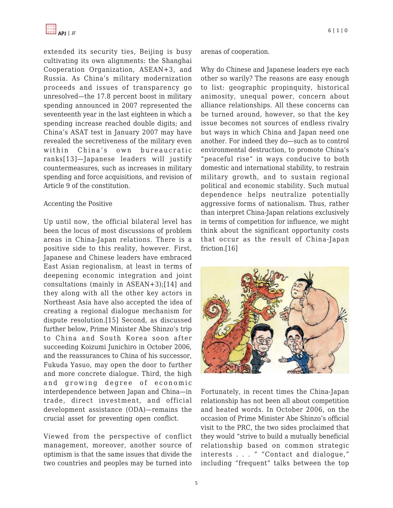extended its security ties, Beijing is busy cultivating its own alignments: the Shanghai Cooperation Organization, ASEAN+3, and Russia. As China's military modernization proceeds and issues of transparency go unresolved—the 17.8 percent boost in military spending announced in 2007 represented the seventeenth year in the last eighteen in which a spending increase reached double digits; and China's ASAT test in January 2007 may have revealed the secretiveness of the military even within China's own bureaucratic ranks[13]—Japanese leaders will justify countermeasures, such as increases in military spending and force acquisitions, and revision of Article 9 of the constitution.

#### Accenting the Positive

Up until now, the official bilateral level has been the locus of most discussions of problem areas in China-Japan relations. There is a positive side to this reality, however. First, Japanese and Chinese leaders have embraced East Asian regionalism, at least in terms of deepening economic integration and joint consultations (mainly in ASEAN+3);[14] and they along with all the other key actors in Northeast Asia have also accepted the idea of creating a regional dialogue mechanism for dispute resolution.[15] Second, as discussed further below, Prime Minister Abe Shinzo's trip to China and South Korea soon after succeeding Koizumi Junichiro in October 2006, and the reassurances to China of his successor, Fukuda Yasuo, may open the door to further and more concrete dialogue. Third, the high and growing degree of economic interdependence between Japan and China—in trade, direct investment, and official development assistance (ODA)—remains the crucial asset for preventing open conflict.

Viewed from the perspective of conflict management, moreover, another source of optimism is that the same issues that divide the two countries and peoples may be turned into arenas of cooperation.

Why do Chinese and Japanese leaders eye each other so warily? The reasons are easy enough to list: geographic propinquity, historical animosity, unequal power, concern about alliance relationships. All these concerns can be turned around, however, so that the key issue becomes not sources of endless rivalry but ways in which China and Japan need one another. For indeed they do—such as to control environmental destruction, to promote China's "peaceful rise" in ways conducive to both domestic and international stability, to restrain military growth, and to sustain regional political and economic stability. Such mutual dependence helps neutralize potentially aggressive forms of nationalism. Thus, rather than interpret China-Japan relations exclusively in terms of competition for influence, we might think about the significant opportunity costs that occur as the result of China-Japan friction.[16]



Fortunately, in recent times the China-Japan relationship has not been all about competition and heated words. In October 2006, on the occasion of Prime Minister Abe Shinzo's official visit to the PRC, the two sides proclaimed that they would "strive to build a mutually beneficial relationship based on common strategic interests . . . " "Contact and dialogue," including "frequent" talks between the top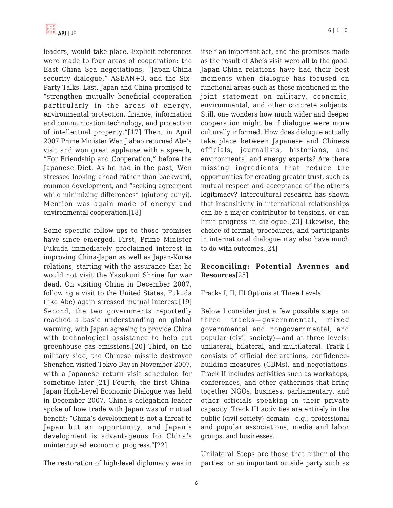

leaders, would take place. Explicit references were made to four areas of cooperation: the East China Sea negotiations, "Japan-China security dialogue," ASEAN+3, and the Six-Party Talks. Last, Japan and China promised to "strengthen mutually beneficial cooperation particularly in the areas of energy, environmental protection, finance, information and communication technology, and protection of intellectual property."[17] Then, in April 2007 Prime Minister Wen Jiabao returned Abe's visit and won great applause with a speech, "For Friendship and Cooperation," before the Japanese Diet. As he had in the past, Wen stressed looking ahead rather than backward, common development, and "seeking agreement while minimizing differences" (qiutong cunyi). Mention was again made of energy and environmental cooperation.[18]

Some specific follow-ups to those promises have since emerged. First, Prime Minister Fukuda immediately proclaimed interest in improving China-Japan as well as Japan-Korea relations, starting with the assurance that he would not visit the Yasukuni Shrine for war dead. On visiting China in December 2007, following a visit to the United States, Fukuda (like Abe) again stressed mutual interest.[19] Second, the two governments reportedly reached a basic understanding on global warming, with Japan agreeing to provide China with technological assistance to help cut greenhouse gas emissions.[20] Third, on the military side, the Chinese missile destroyer Shenzhen visited Tokyo Bay in November 2007, with a Japanese return visit scheduled for sometime later.[21] Fourth, the first China-Japan High-Level Economic Dialogue was held in December 2007. China's delegation leader spoke of how trade with Japan was of mutual benefit: "China's development is not a threat to Japan but an opportunity, and Japan's development is advantageous for China's uninterrupted economic progress."[22]

The restoration of high-level diplomacy was in

itself an important act, and the promises made as the result of Abe's visit were all to the good. Japan-China relations have had their best moments when dialogue has focused on functional areas such as those mentioned in the joint statement on military, economic, environmental, and other concrete subjects. Still, one wonders how much wider and deeper cooperation might be if dialogue were more culturally informed. How does dialogue actually take place between Japanese and Chinese officials, journalists, historians, and environmental and energy experts? Are there missing ingredients that reduce the opportunities for creating greater trust, such as mutual respect and acceptance of the other's legitimacy? Intercultural research has shown that insensitivity in international relationships can be a major contributor to tensions, or can limit progress in dialogue.[23] Likewise, the choice of format, procedures, and participants in international dialogue may also have much to do with outcomes.[24]

### **Reconciling: Potential Avenues and Resources**[25]

#### Tracks I, II, III Options at Three Levels

Below I consider just a few possible steps on three tracks—governmental, mixed governmental and nongovernmental, and popular (civil society)—and at three levels: unilateral, bilateral, and multilateral. Track I consists of official declarations, confidencebuilding measures (CBMs), and negotiations. Track II includes activities such as workshops, conferences, and other gatherings that bring together NGOs, business, parliamentary, and other officials speaking in their private capacity. Track III activities are entirely in the public (civil-society) domain—e.g., professional and popular associations, media and labor groups, and businesses.

Unilateral Steps are those that either of the parties, or an important outside party such as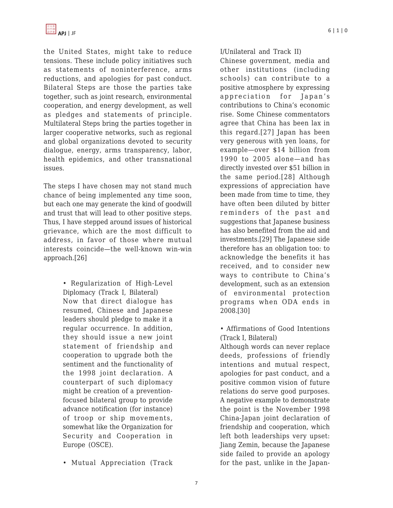

the United States, might take to reduce tensions. These include policy initiatives such as statements of noninterference, arms reductions, and apologies for past conduct. Bilateral Steps are those the parties take together, such as joint research, environmental cooperation, and energy development, as well as pledges and statements of principle. Multilateral Steps bring the parties together in larger cooperative networks, such as regional and global organizations devoted to security dialogue, energy, arms transparency, labor, health epidemics, and other transnational issues.

The steps I have chosen may not stand much chance of being implemented any time soon, but each one may generate the kind of goodwill and trust that will lead to other positive steps. Thus, I have stepped around issues of historical grievance, which are the most difficult to address, in favor of those where mutual interests coincide—the well-known win-win approach.[26]

> • Regularization of High-Level Diplomacy (Track I, Bilateral) Now that direct dialogue has resumed, Chinese and Japanese leaders should pledge to make it a regular occurrence. In addition, they should issue a new joint statement of friendship and cooperation to upgrade both the sentiment and the functionality of the 1998 joint declaration. A counterpart of such diplomacy might be creation of a preventionfocused bilateral group to provide advance notification (for instance) of troop or ship movements, somewhat like the Organization for Security and Cooperation in Europe (OSCE).

• Mutual Appreciation (Track

I/Unilateral and Track II)

Chinese government, media and other institutions (including schools) can contribute to a positive atmosphere by expressing appreciation for Japan's contributions to China's economic rise. Some Chinese commentators agree that China has been lax in this regard.[27] Japan has been very generous with yen loans, for example—over \$14 billion from 1990 to 2005 alone—and has directly invested over \$51 billion in the same period.[28] Although expressions of appreciation have been made from time to time, they have often been diluted by bitter reminders of the past and suggestions that Japanese business has also benefited from the aid and investments.[29] The Japanese side therefore has an obligation too: to acknowledge the benefits it has received, and to consider new ways to contribute to China's development, such as an extension of environmental protection programs when ODA ends in 2008.[30]

• Affirmations of Good Intentions (Track I, Bilateral)

Although words can never replace deeds, professions of friendly intentions and mutual respect, apologies for past conduct, and a positive common vision of future relations do serve good purposes. A negative example to demonstrate the point is the November 1998 China-Japan joint declaration of friendship and cooperation, which left both leaderships very upset: Jiang Zemin, because the Japanese side failed to provide an apology for the past, unlike in the Japan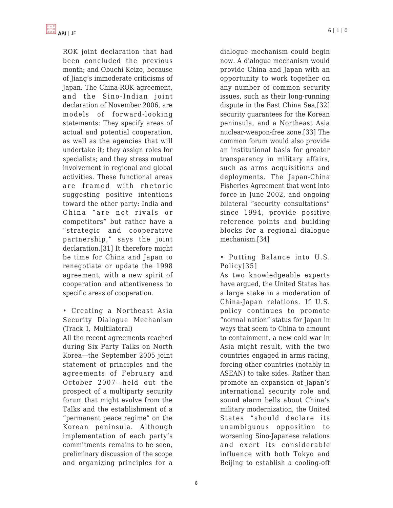ROK joint declaration that had been concluded the previous month; and Obuchi Keizo, because of Jiang's immoderate criticisms of Japan. The China-ROK agreement, and the Sino-Indian joint declaration of November 2006, are models of forward-looking statements: They specify areas of actual and potential cooperation, as well as the agencies that will undertake it; they assign roles for specialists; and they stress mutual involvement in regional and global activities. These functional areas are framed with rhetoric suggesting positive intentions toward the other party: India and China "are not rivals or competitors" but rather have a "strategic and cooperative partnership," says the joint declaration.[31] It therefore might be time for China and Japan to renegotiate or update the 1998 agreement, with a new spirit of cooperation and attentiveness to specific areas of cooperation.

• Creating a Northeast Asia Security Dialogue Mechanism (Track I, Multilateral)

All the recent agreements reached during Six Party Talks on North Korea—the September 2005 joint statement of principles and the agreements of February and October 2007—held out the prospect of a multiparty security forum that might evolve from the Talks and the establishment of a "permanent peace regime" on the Korean peninsula. Although implementation of each party's commitments remains to be seen, preliminary discussion of the scope and organizing principles for a

dialogue mechanism could begin now. A dialogue mechanism would provide China and Japan with an opportunity to work together on any number of common security issues, such as their long-running dispute in the East China Sea,[32] security guarantees for the Korean peninsula, and a Northeast Asia nuclear-weapon-free zone.[33] The common forum would also provide an institutional basis for greater transparency in military affairs, such as arms acquisitions and deployments. The Japan-China Fisheries Agreement that went into force in June 2002, and ongoing bilateral "security consultations" since 1994, provide positive reference points and building blocks for a regional dialogue mechanism.[34]

• Putting Balance into U.S. Policy[35]

As two knowledgeable experts have argued, the United States has a large stake in a moderation of China-Japan relations. If U.S. policy continues to promote "normal nation" status for Japan in ways that seem to China to amount to containment, a new cold war in Asia might result, with the two countries engaged in arms racing, forcing other countries (notably in ASEAN) to take sides. Rather than promote an expansion of Japan's international security role and sound alarm bells about China's military modernization, the United States "should declare its unambiguous opposition to worsening Sino-Japanese relations and exert its considerable influence with both Tokyo and Beijing to establish a cooling-off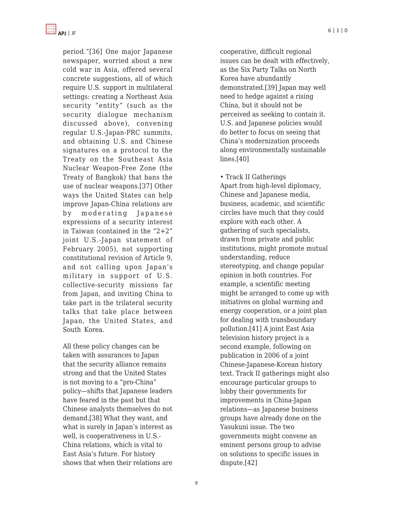

period."[36] One major Japanese newspaper, worried about a new cold war in Asia, offered several concrete suggestions, all of which require U.S. support in multilateral settings: creating a Northeast Asia security "entity" (such as the security dialogue mechanism discussed above), convening regular U.S.-Japan-PRC summits, and obtaining U.S. and Chinese signatures on a protocol to the Treaty on the Southeast Asia Nuclear Weapon-Free Zone (the Treaty of Bangkok) that bans the use of nuclear weapons.[37] Other ways the United States can help improve Japan-China relations are by moderating Japanese expressions of a security interest in Taiwan (contained in the "2+2" joint U.S.-Japan statement of February 2005), not supporting constitutional revision of Article 9, and not calling upon Japan's military in support of U.S. collective-security missions far from Japan, and inviting China to take part in the trilateral security talks that take place between Japan, the United States, and South Korea.

All these policy changes can be taken with assurances to Japan that the security alliance remains strong and that the United States is not moving to a "pro-China" policy—shifts that Japanese leaders have feared in the past but that Chinese analysts themselves do not demand.[38] What they want, and what is surely in Japan's interest as well, is cooperativeness in U.S.- China relations, which is vital to East Asia's future. For history shows that when their relations are cooperative, difficult regional issues can be dealt with effectively, as the Six Party Talks on North Korea have abundantly demonstrated.[39] Japan may well need to hedge against a rising China, but it should not be perceived as seeking to contain it. U.S. and Japanese policies would do better to focus on seeing that China's modernization proceeds along environmentally sustainable lines.[40]

• Track II Gatherings Apart from high-level diplomacy, Chinese and Japanese media, business, academic, and scientific circles have much that they could explore with each other. A gathering of such specialists, drawn from private and public institutions, might promote mutual understanding, reduce stereotyping, and change popular opinion in both countries. For example, a scientific meeting might be arranged to come up with initiatives on global warming and energy cooperation, or a joint plan for dealing with transboundary pollution.[41] A joint East Asia television history project is a second example, following on publication in 2006 of a joint Chinese-Japanese-Korean history text. Track II gatherings might also encourage particular groups to lobby their governments for improvements in China-Japan relations—as Japanese business groups have already done on the Yasukuni issue. The two governments might convene an eminent persons group to advise on solutions to specific issues in dispute.[42]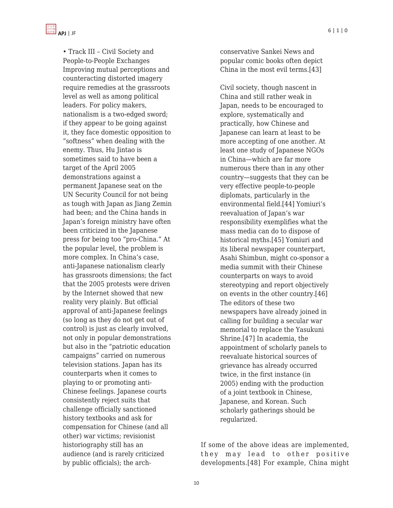

• Track III – Civil Society and People-to-People Exchanges Improving mutual perceptions and counteracting distorted imagery require remedies at the grassroots level as well as among political leaders. For policy makers, nationalism is a two-edged sword; if they appear to be going against it, they face domestic opposition to "softness" when dealing with the enemy. Thus, Hu Jintao is sometimes said to have been a target of the April 2005 demonstrations against a permanent Japanese seat on the UN Security Council for not being as tough with Japan as Jiang Zemin had been; and the China hands in Japan's foreign ministry have often been criticized in the Japanese press for being too "pro-China." At the popular level, the problem is more complex. In China's case, anti-Japanese nationalism clearly has grassroots dimensions; the fact that the 2005 protests were driven by the Internet showed that new reality very plainly. But official approval of anti-Japanese feelings (so long as they do not get out of control) is just as clearly involved, not only in popular demonstrations but also in the "patriotic education campaigns" carried on numerous television stations. Japan has its counterparts when it comes to playing to or promoting anti-Chinese feelings. Japanese courts consistently reject suits that challenge officially sanctioned history textbooks and ask for compensation for Chinese (and all other) war victims; revisionist historiography still has an audience (and is rarely criticized by public officials); the archconservative Sankei News and popular comic books often depict China in the most evil terms.[43]

Civil society, though nascent in China and still rather weak in Japan, needs to be encouraged to explore, systematically and practically, how Chinese and Japanese can learn at least to be more accepting of one another. At least one study of Japanese NGOs in China—which are far more numerous there than in any other country—suggests that they can be very effective people-to-people diplomats, particularly in the environmental field.[44] Yomiuri's reevaluation of Japan's war responsibility exemplifies what the mass media can do to dispose of historical myths.[45] Yomiuri and its liberal newspaper counterpart, Asahi Shimbun, might co-sponsor a media summit with their Chinese counterparts on ways to avoid stereotyping and report objectively on events in the other country.[46] The editors of these two newspapers have already joined in calling for building a secular war memorial to replace the Yasukuni Shrine.[47] In academia, the appointment of scholarly panels to reevaluate historical sources of grievance has already occurred twice, in the first instance (in 2005) ending with the production of a joint textbook in Chinese, Japanese, and Korean. Such scholarly gatherings should be regularized.

If some of the above ideas are implemented, they may lead to other positive developments.[48] For example, China might

10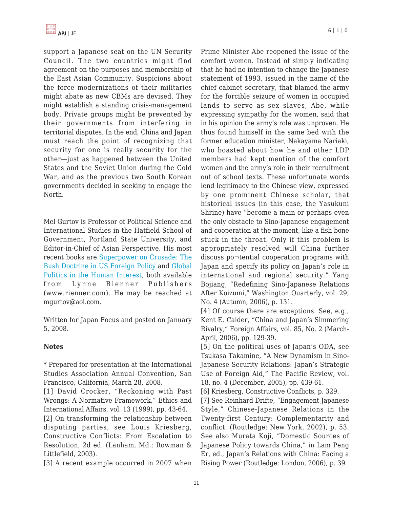support a Japanese seat on the UN Security Council. The two countries might find agreement on the purposes and membership of the East Asian Community. Suspicions about the force modernizations of their militaries might abate as new CBMs are devised. They might establish a standing crisis-management body. Private groups might be prevented by their governments from interfering in territorial disputes. In the end, China and Japan must reach the point of recognizing that security for one is really security for the other—just as happened between the United States and the Soviet Union during the Cold War, and as the previous two South Korean governments decided in seeking to engage the North.

Mel Gurtov is Professor of Political Science and International Studies in the Hatfield School of Government, Portland State University, and Editor-in-Chief of Asian Perspective. His most recent books are [Superpower on Crusade: The](http://www.amazon.com/Superpower-Crusade-Doctrine-Foreign-Policy/dp/1588264076/ref=pd_bbs_sr_1?ie=UTF8&s=books&qid=1199582615&sr=8-1) [Bush Doctrine in US Foreign Policy](http://www.amazon.com/Superpower-Crusade-Doctrine-Foreign-Policy/dp/1588264076/ref=pd_bbs_sr_1?ie=UTF8&s=books&qid=1199582615&sr=8-1) and [Global](http://www.amazon.com/Global-Politics-Human-Interest-5th/dp/158826484X/ref=sr_1_1?ie=UTF8&s=books&qid=1199582665&sr=1-1) [Politics in the Human Interest](http://www.amazon.com/Global-Politics-Human-Interest-5th/dp/158826484X/ref=sr_1_1?ie=UTF8&s=books&qid=1199582665&sr=1-1), both available from Lynne Rienner Publishers (www.rienner.com). He may be reached at mgurtov@aol.com.

Written for Japan Focus and posted on January 5, 2008.

#### **Notes**

\* Prepared for presentation at the International Studies Association Annual Convention, San Francisco, California, March 28, 2008.

[1] David Crocker, "Reckoning with Past Wrongs: A Normative Framework," Ethics and International Affairs, vol. 13 (1999), pp. 43-64.

[2] On transforming the relationship between disputing parties, see Louis Kriesberg, Constructive Conflicts: From Escalation to Resolution, 2d ed. (Lanham, Md.: Rowman & Littlefield, 2003).

[3] A recent example occurred in 2007 when

Prime Minister Abe reopened the issue of the comfort women. Instead of simply indicating that he had no intention to change the Japanese statement of 1993, issued in the name of the chief cabinet secretary, that blamed the army for the forcible seizure of women in occupied lands to serve as sex slaves, Abe, while expressing sympathy for the women, said that in his opinion the army's role was unproven. He thus found himself in the same bed with the former education minister, Nakayama Nariaki, who boasted about how he and other LDP members had kept mention of the comfort women and the army's role in their recruitment out of school texts. These unfortunate words lend legitimacy to the Chinese view, expressed by one prominent Chinese scholar, that historical issues (in this case, the Yasukuni Shrine) have "become a main or perhaps even the only obstacle to Sino-Japanese engagement and cooperation at the moment, like a fish bone stuck in the throat. Only if this problem is appropriately resolved will China further discuss po¬tential cooperation programs with Japan and specify its policy on Japan's role in international and regional security." Yang Bojiang, "Redefining Sino-Japanese Relations After Koizumi," Washington Quarterly, vol. 29, No. 4 (Autumn, 2006), p. 131.

[4] Of course there are exceptions. See, e.g., Kent E. Calder, "China and Japan's Simmering Rivalry," Foreign Affairs, vol. 85, No. 2 (March-April, 2006), pp. 129-39.

[5] On the political uses of Japan's ODA, see Tsukasa Takamine, "A New Dynamism in Sino-Japanese Security Relations: Japan's Strategic Use of Foreign Aid," The Pacific Review, vol. 18, no. 4 (December, 2005), pp. 439-61.

[6] Kriesberg, Constructive Conflicts, p. 329.

[7] See Reinhard Drifte, "Engagement Japanese Style," Chinese-Japanese Relations in the Twenty-first Century: Complementarity and conflict. (Routledge: New York, 2002), p. 53. See also Murata Koji, "Domestic Sources of Japanese Policy towards China," in Lam Peng Er, ed., Japan's Relations with China: Facing a Rising Power (Routledge: London, 2006), p. 39.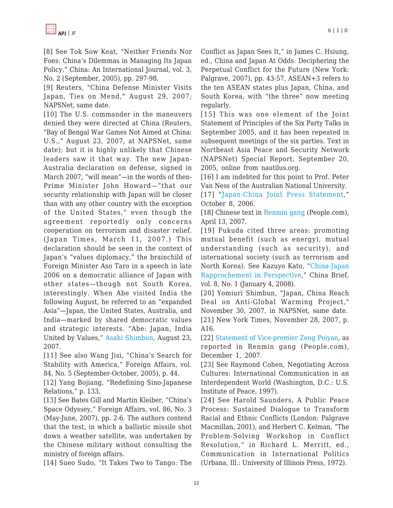[8] See Tok Sow Keat, "Neither Friends Nor Foes: China's Dilemmas in Managing Its Japan Policy," China: An International Journal, vol. 3, No. 2 (September, 2005), pp. 297-98.

[9] Reuters, "China Defense Minister Visits Japan, Ties on Mend," August 29, 2007; NAPSNet, same date.

[10] The U.S. commander in the maneuvers denied they were directed at China (Reuters, "Bay of Bengal War Games Not Aimed at China: U.S.," August 23, 2007, at NAPSNet, same date); but it is highly unlikely that Chinese leaders saw it that way. The new Japan-Australia declaration on defense, signed in March 2007, "will mean"—in the words of then-Prime Minister John Howard—"that our security relationship with Japan will be closer than with any other country with the exception of the United States," even though the agreement reportedly only concerns cooperation on terrorism and disaster relief. (Japan Times, March 11, 2007.) This declaration should be seen in the context of Japan's "values diplomacy," the brainchild of Foreign Minister Aso Taro in a speech in late 2006 on a democratic alliance of Japan with other states—though not South Korea, interestingly. When Abe visited India the following August, he referred to an "expanded Asia"—Japan, the United States, Australia, and India—marked by shared democratic values and strategic interests. "Abe: Japan, India United by Values," [Asahi Shimbun,](http://www.asahi.com) August 23, 2007.

[11] See also Wang Jisi, "China's Search for Stability with America," Foreign Affairs, vol. 84, No. 5 (September-October, 2005), p. 44.

[12] Yang Bojiang, "Redefining Sino-Japanese Relations," p. 133.

[13] See Bates Gill and Martin Kleiber, "China's Space Odyssey," Foreign Affairs, vol. 86, No. 3 (May-June, 2007), pp. 2-6. The authors contend that the test, in which a ballistic missile shot down a weather satellite, was undertaken by the Chinese military without consulting the ministry of foreign affairs.

[14] Sueo Sudo, "It Takes Two to Tango: The

Conflict as Japan Sees It," in James C. Hsiung, ed., China and Japan At Odds: Deciphering the Perpetual Conflict for the Future (New York: Palgrave, 2007), pp. 43-57. ASEAN+3 refers to the ten ASEAN states plus Japan, China, and South Korea, with "the three" now meeting regularly.

[15] This was one element of the Joint Statement of Principles of the Six Party Talks in September 2005, and it has been repeated in subsequent meetings of the six parties. Text in Northeast Asia Peace and Security Network (NAPSNet) Special Report, September 20, 2005, online from nautilus.org.

[16] I am indebted for this point to Prof. Peter Van Ness of the Australian National University.

[17] "[Japan-China Joint Press Statement,](http://www.mofa.go.jp/region/asia-paci/china/joint0610.html)" October 8, 2006.

[18] Chinese text in [Renmin gang](http://politics.people.com.cn/GB/1024/5608346.html) (People.com), April 13, 2007.

[19] Fukuda cited three areas: promoting mutual benefit (such as energy), mutual understanding (such as security), and international society (such as terrorism and North Korea). See Kazuyo Kato, "[China-Japan](http://www.jamestown.org/china_brief/article.php?articleid=2373877) [Rapprochement in Perspective,](http://www.jamestown.org/china_brief/article.php?articleid=2373877)" China Brief, vol. 8, No. 1 (January 4, 2008).

[20] Yomiuri Shimbun, "Japan, China Reach Deal on Anti-Global Warming Project," November 30, 2007, in NAPSNet, same date. [21] New York Times, November 28, 2007, p. A16.

[22] [Statement of Vice-premier Zeng Peiyan](http://world.people.com.cn/GB/1029/42354/6600621.html), as reported in Renmin gang (People.com), December 1, 2007.

[23] See Raymond Cohen, Negotiating Across Cultures: International Communication in an Interdependent World (Washington, D.C.: U.S. Institute of Peace, 1997).

[24] See Harold Saunders, A Public Peace Process: Sustained Dialogue to Transform Racial and Ethnic Conflicts (London: Palgrave Macmillan, 2001), and Herbert C. Kelman, "The Problem-Solving Workshop in Conflict Resolution," in Richard L. Merritt, ed., Communication in International Politics (Urbana, Ill.: University of Illinois Press, 1972).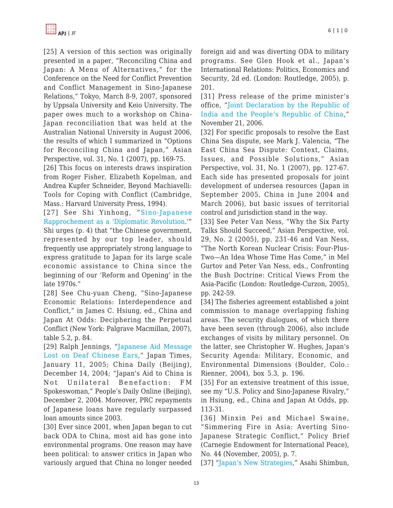[25] A version of this section was originally presented in a paper, "Reconciling China and Japan: A Menu of Alternatives," for the Conference on the Need for Conflict Prevention and Conflict Management in Sino-Japanese Relations," Tokyo, March 8-9, 2007, sponsored by Uppsala University and Keio University. The paper owes much to a workshop on China-Japan reconciliation that was held at the Australian National University in August 2006, the results of which I summarized in "Options for Reconciling China and Japan," Asian Perspective, vol. 31, No. 1 (2007), pp. 169-75.

[26] This focus on interests draws inspiration from Roger Fisher, Elizabeth Kopelman, and Andrea Kupfer Schneider, Beyond Machiavelli: Tools for Coping with Conflict (Cambridge, Mass.: Harvard University Press, 1994).

[27] See Shi Yinhong, "[Sino-Japanese](http://www.uscc.gov/hearings/2003hearings/written_testimonies/031030bios/sing-japprochement.htm) [Rapprochement as a 'Diplomatic Revolution](http://www.uscc.gov/hearings/2003hearings/written_testimonies/031030bios/sing-japprochement.htm).'"

Shi urges (p. 4) that "the Chinese government, represented by our top leader, should frequently use appropriately strong language to express gratitude to Japan for its large scale economic assistance to China since the beginning of our 'Reform and Opening' in the late 1970s."

[28] See Chu-yuan Cheng, "Sino-Japanese Economic Relations: Interdependence and Conflict," in James C. Hsiung, ed., China and Japan At Odds: Deciphering the Perpetual Conflict (New York: Palgrave Macmillan, 2007), table 5.2, p. 84.

[29] Ralph Jennings, "[Japanese Aid Message](http://www.asiamedia.ucla.edu/article.asp?parentid=19388) [Lost on Deaf Chinese Ears](http://www.asiamedia.ucla.edu/article.asp?parentid=19388)," Japan Times, January 11, 2005; China Daily (Beijing), December 14, 2004; "Japan's Aid to China is Not Unilateral Benefaction: FM Spokeswoman," People's Daily Online (Beijing), December 2, 2004. Moreover, PRC repayments of Japanese loans have regularly surpassed loan amounts since 2003.

[30] Ever since 2001, when Japan began to cut back ODA to China, most aid has gone into environmental programs. One reason may have been political: to answer critics in Japan who variously argued that China no longer needed foreign aid and was diverting ODA to military programs. See Glen Hook et al., Japan's International Relations: Politics, Economics and Security, 2d ed. (London: Routledge, 2005), p. 201.

[31] Press release of the prime minister's office, "[Joint Declaration by the Republic of](http://pib.nic.in/release/release.asp?relid=22168) [India and the People's Republic of China,](http://pib.nic.in/release/release.asp?relid=22168)" November 21, 2006.

[32] For specific proposals to resolve the East China Sea dispute, see Mark J. Valencia, "The East China Sea Dispute: Context, Claims, Issues, and Possible Solutions," Asian Perspective, vol. 31, No. 1 (2007), pp. 127-67. Each side has presented proposals for joint development of undersea resources (Japan in September 2005, China in June 2004 and March 2006), but basic issues of territorial control and jurisdiction stand in the way.

[33] See Peter Van Ness, "Why the Six Party Talks Should Succeed," Asian Perspective, vol. 29, No. 2 (2005), pp. 231-46 and Van Ness, "The North Korean Nuclear Crisis: Four-Plus-Two—An Idea Whose Time Has Come," in Mel Gurtov and Peter Van Ness, eds., Confronting the Bush Doctrine: Critical Views From the Asia-Pacific (London: Routledge-Curzon, 2005), pp. 242-59.

[34] The fisheries agreement established a joint commission to manage overlapping fishing areas. The security dialogues, of which there have been seven (through 2006), also include exchanges of visits by military personnel. On the latter, see Christopher W. Hughes, Japan's Security Agenda: Military, Economic, and Environmental Dimensions (Boulder, Colo.: Rienner, 2004), box 5.3, p. 196.

[35] For an extensive treatment of this issue, see my "U.S. Policy and Sino-Japanese Rivalry," in Hsiung, ed., China and Japan At Odds, pp. 113-31.

[36] Minxin Pei and Michael Swaine, "Simmering Fire in Asia: Averting Sino-Japanese Strategic Conflict," Policy Brief (Carnegie Endowment for International Peace), No. 44 (November, 2005), p. 7.

[37] ["Japan's New Strategies,](http://www.asahi.com)" Asahi Shimbun,